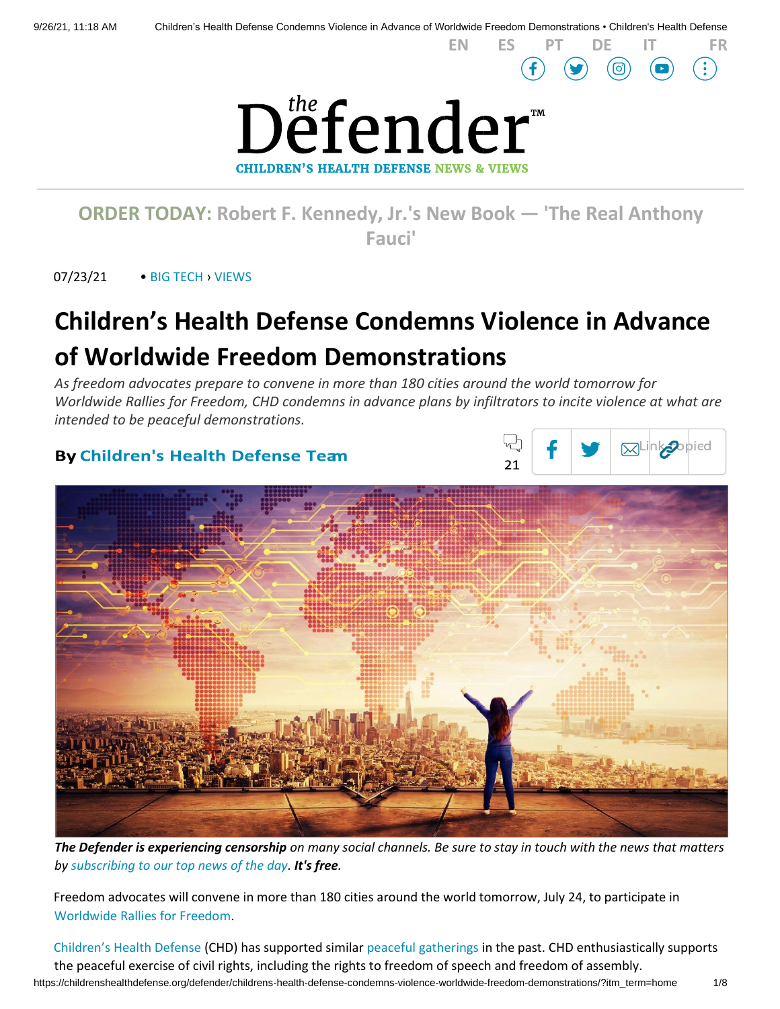

**[ORDER TODAY:](https://www.amazon.com/Real-Anthony-Fauci-Democracy-Childrens/dp/1510766804) [Robert F. Kennedy, Jr.'s New Book](https://www.amazon.com/Real-Anthony-Fauci-Democracy-Childrens/dp/1510766804) — 'The Real Anthony [Fauci'](https://www.amazon.com/Real-Anthony-Fauci-Democracy-Childrens/dp/1510766804)**

07/23/21 • [BIG TECH](https://childrenshealthdefense.org/defender_category/big-tech) › [VIEWS](https://childrenshealthdefense.org/defender-views)

# **Children's Health Defense Condemns Violence in Advance of Worldwide Freedom Demonstrations**

*As freedom advocates prepare to convene in more than 180 cities around the world tomorrow for Worldwide Rallies for Freedom, CHD condemns in advance plans by infiltrators to incite violence at what are intended to be peaceful demonstrations.*

# **By Children's Health Defense Tean**



**[EN](https://childrenshealthdefense.org/defender/childrens-health-defense-condemns-violence-worldwide-freedom-demonstrations/) [ES](https://childrenshealthdefense.org/defender/childrens-health-defense-condena-la-violencia-antes-de-que-se-realicen-manifestaciones-por-la-libertad-en-todo-el-mundo/?lang=es) [PT](https://childrenshealthdefense.org/defender/a-childrens-health-defense-condena-antecipadamente-a-violencia-em-manifestacoes-mundiais-em-favor-da-liberdade/?lang=pt-br) [DE](https://childrenshealthdefense.org/defender/childrens-health-defense-verurteilt-im-vorfeld-der-weltweiten-freiheitsdemonstrationen-gewalt/?lang=de) [IT](https://childrenshealthdefense.org/defender/childrens-health-defense-condanna-la-violenza-in-vista-delle-manifestazioni-per-la-liberta-nel-mondo/?lang=it) [FR](https://childrenshealthdefense.org/defender/la-childrens-health-defense-condamne-la-violence-a-lapproche-des-manifestations-pour-la-liberte-dans-le-monde-entier/?lang=fr)**



*The Defender is experiencing censorship on many social channels. Be sure to stay in touch with the news that matters by [subscribing to our top news of the day.](https://childrenshealthdefense.org/about-us/sign-up/?utm_source=top_of_article&utm_medium=the_defender&utm_campaign=sign_ups) It's free.*

Freedom advocates will convene in more than 180 cities around the world tomorrow, July 24, to participate in [Worldwide Rallies for Freedom.](https://worldwidedemonstration.com/)

https://childrenshealthdefense.org/defender/childrens-health-defense-condemns-violence-worldwide-freedom-demonstrations/?itm\_term=home 1/8 [Children's Health Defense](https://childrenshealthdefense.org/) [\(](https://childrenshealthdefense.org/)CHD) has supported similar [peaceful gatherings](https://childrenshealthdefense.org/defender/rallies-for-freedom/) in the past. CHD enthusiastically supports the peaceful exercise of civil rights, including the rights to freedom of speech and freedom of assembly.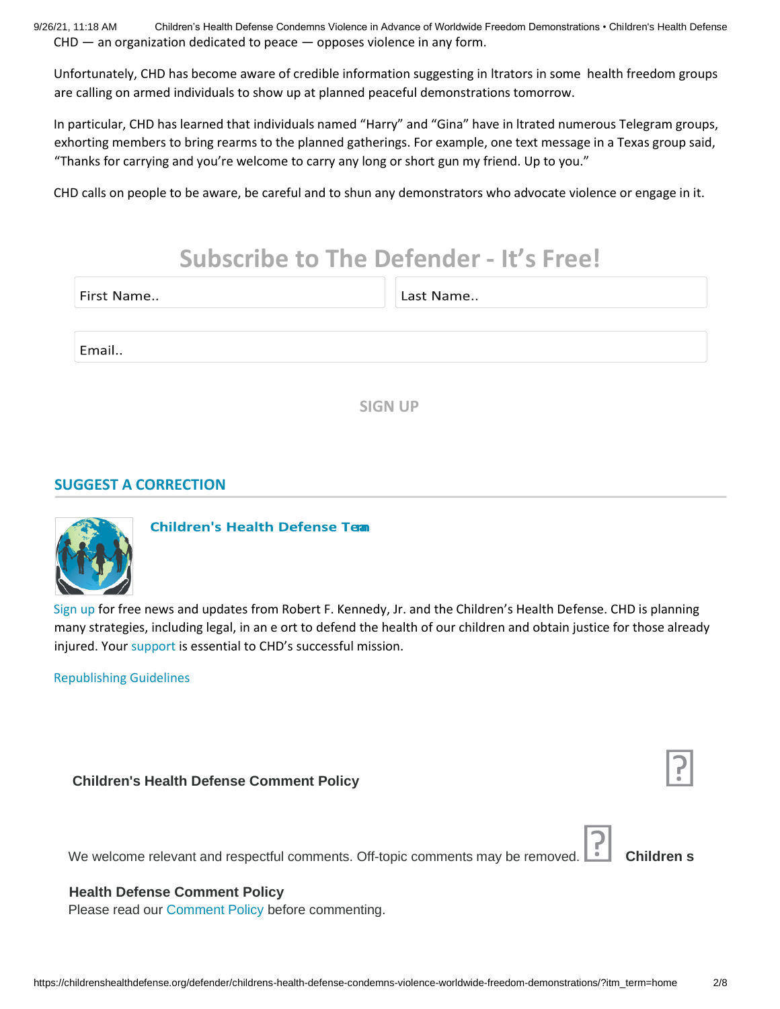9/26/21, 11:18 AM Children's Health Defense Condemns Violence in Advance of Worldwide Freedom Demonstrations • Children's Health Defense CHD — an organization dedicated to peace — opposes violence in any form.

Unfortunately, CHD has become aware of credible information suggesting in ltrators in some health freedom groups are calling on armed individuals to show up at planned peaceful demonstrations tomorrow.

In particular, CHD has learned that individuals named "Harry" and "Gina" have in ltrated numerous Telegram groups, exhorting members to bring rearms to the planned gatherings. For example, one text message in a Texas group said, "Thanks for carrying and you're welcome to carry any long or short gun my friend. Up to you."

CHD calls on people to be aware, be careful and to shun any demonstrators who advocate violence or engage in it.

# **Subscribe to The Defender - It's Free!**

| First Name |
|------------|
|            |

Last Name..

Email..

**SIGN UP**

## **[SUGGEST A CORRECTION](https://childrenshealthdefense.org/suggest-a-correction/)**



**Children's Health Defense Team** 

[Sign up](https://childrenshealthdefense.org/about-us/sign-up/) for free news and updates from Robert F. Kennedy, Jr. and the Children's Health Defense. CHD is planning many strategies, including legal, in an e ort to defend the health of our children and obtain justice for those already injured. Your [support](https://childrenshealthdefense.org/about-us/donate/) [i](https://childrenshealthdefense.org/about-us/donate/)s essential to CHD's successful mission.

[Republishing Guidelines](https://childrenshealthdefense.org/uncategorized/re-publishing-guidelines/)

#### **Children's Health Defense Comment Policy**

We welcome relevant and respectful comments. Off-topic comments may be removed. **Children s** 

### **Health Defense Comment Policy**

Please read our [Comment Policy](https://childrenshealthdefense.org/the-defenders-comment-policy/) before commenting.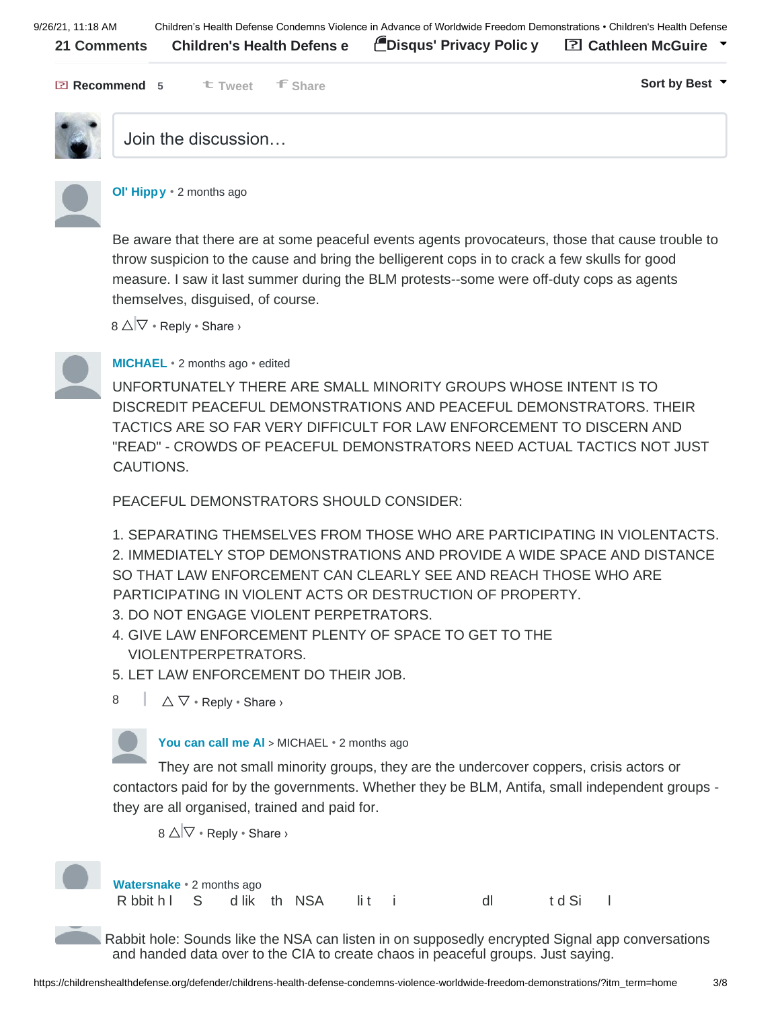9/26/21, 11:18 AM Children's Health Defense Condemns Violence in Advance of Worldwide Freedom Demonstrations • Children's Health Defense **21 Comments [Children's Health Defens](https://disqus.com/home/forums/childrenshealthdefense/) [e](https://disqus.com/home/forums/childrenshealthdefense/) [Disqus' Privacy Polic](https://help.disqus.com/customer/portal/articles/466259-privacy-policy) [y](https://help.disqus.com/customer/portal/articles/466259-privacy-policy) Cathleen McGuire Tweet Share Sort by Best Recommend 5**



# Join the discussion…



#### **[Ol' Hippy](https://disqus.com/by/disqus_suhPmlhOJh/)** [•](https://childrenshealthdefense.org/defender/childrens-health-defense-condemns-violence-worldwide-freedom-demonstrations/?itm_term=home#comment-5467266100) [2](https://childrenshealthdefense.org/defender/childrens-health-defense-condemns-violence-worldwide-freedom-demonstrations/?itm_term=home#comment-5467266100) [months ago](https://childrenshealthdefense.org/defender/childrens-health-defense-condemns-violence-worldwide-freedom-demonstrations/?itm_term=home#comment-5467266100)

Be aware that there are at some peaceful events agents provocateurs, those that cause trouble to throw suspicion to the cause and bring the belligerent cops in to crack a few skulls for good measure. I saw it last summer during the BLM protests--some were off-duty cops as agents themselves, disguised, of course.

8 △ V • Reply • Share ›



# **[MICHAEL](https://disqus.com/by/disqus_OqqNbg665G/)** • [2 months ago](https://childrenshealthdefense.org/defender/childrens-health-defense-condemns-violence-worldwide-freedom-demonstrations/?itm_term=home#comment-5467210764) [•](https://childrenshealthdefense.org/defender/childrens-health-defense-condemns-violence-worldwide-freedom-demonstrations/?itm_term=home#comment-5467210764) edited

UNFORTUNATELY THERE ARE SMALL MINORITY GROUPS WHOSE INTENT IS TO DISCREDIT PEACEFUL DEMONSTRATIONS AND PEACEFUL DEMONSTRATORS. THEIR TACTICS ARE SO FAR VERY DIFFICULT FOR LAW ENFORCEMENT TO DISCERN AND "READ" - CROWDS OF PEACEFUL DEMONSTRATORS NEED ACTUAL TACTICS NOT JUST CAUTIONS.

PEACEFUL DEMONSTRATORS SHOULD CONSIDER:

1. SEPARATING THEMSELVES FROM THOSE WHO ARE PARTICIPATING IN VIOLENTACTS. 2. IMMEDIATELY STOP DEMONSTRATIONS AND PROVIDE A WIDE SPACE AND DISTANCE SO THAT LAW ENFORCEMENT CAN CLEARLY SEE AND REACH THOSE WHO ARE PARTICIPATING IN VIOLENT ACTS OR DESTRUCTION OF PROPERTY.

3. DO NOT ENGAGE VIOLENT PERPETRATORS.

- 4. GIVE LAW ENFORCEMENT PLENTY OF SPACE TO GET TO THE VIOLENTPERPETRATORS.
- 5. LET LAW ENFORCEMENT DO THEIR JOB.
- $\triangle\nabla\cdot$  Reply  $\cdot$  Share  $\rightarrow$ 8

**[You can call me Al](https://disqus.com/by/disqus_buw9aRYaZ2/)** [>](https://childrenshealthdefense.org/defender/childrens-health-defense-condemns-violence-worldwide-freedom-demonstrations/?itm_term=home#comment-5467210764) [MICHAEL](https://childrenshealthdefense.org/defender/childrens-health-defense-condemns-violence-worldwide-freedom-demonstrations/?itm_term=home#comment-5467210764) • [2 months ago](https://childrenshealthdefense.org/defender/childrens-health-defense-condemns-violence-worldwide-freedom-demonstrations/?itm_term=home#comment-5467573540)

They are not small minority groups, they are the undercover coppers, crisis actors or contactors paid for by the governments. Whether they be BLM, Antifa, small independent groups they are all organised, trained and paid for.

 $8 \triangle \nabla \cdot \text{Reply} \cdot \text{Share}$ 



**[Watersnake](https://disqus.com/by/disqus_2NrHGrMXos/)** • [2 months ago](https://childrenshealthdefense.org/defender/childrens-health-defense-condemns-violence-worldwide-freedom-demonstrations/?itm_term=home#comment-5467207235) Rbbith IS d lik th NSA lit i dl t d Si l

Rabbit hole: Sounds like the NSA can listen in on supposedly encrypted Signal app conversations and handed data over to the CIA to create chaos in peaceful groups. Just saying.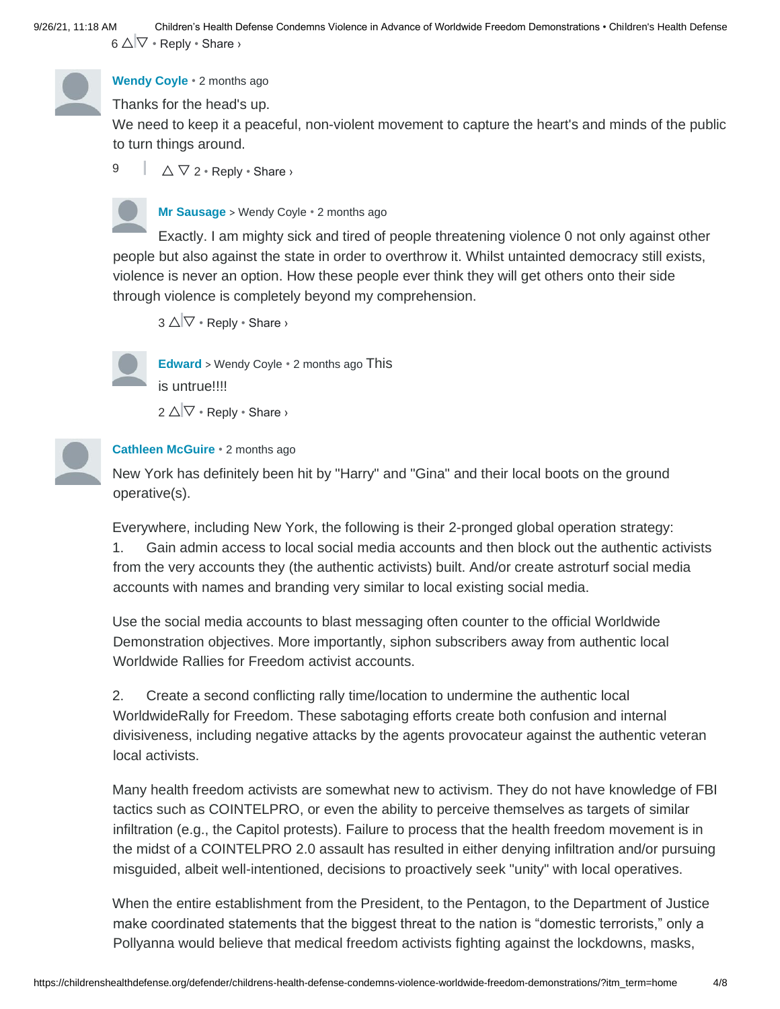9/26/21, 11:18 AM Children's Health Defense Condemns Violence in Advance of Worldwide Freedom Demonstrations • Children's Health Defense  $6 \triangle \nabla \cdot \text{Reply} \cdot \text{Share}$ 



# **[Wendy Coyle](https://disqus.com/by/wendycoyle/)** • [2 months ago](https://childrenshealthdefense.org/defender/childrens-health-defense-condemns-violence-worldwide-freedom-demonstrations/?itm_term=home#comment-5467101375)

Thanks for the head's up.

We need to keep it a peaceful, non-violent movement to capture the heart's and minds of the public to turn things around.

 $\triangle \nabla$  2 • Reply • Share > 9



**[Mr Sausage](https://disqus.com/by/disqus_LcfLp7QAk9/)** [>](https://childrenshealthdefense.org/defender/childrens-health-defense-condemns-violence-worldwide-freedom-demonstrations/?itm_term=home#comment-5467101375) [Wendy Coyle](https://childrenshealthdefense.org/defender/childrens-health-defense-condemns-violence-worldwide-freedom-demonstrations/?itm_term=home#comment-5467101375) • [2 months ago](https://childrenshealthdefense.org/defender/childrens-health-defense-condemns-violence-worldwide-freedom-demonstrations/?itm_term=home#comment-5467400389)

Exactly. I am mighty sick and tired of people threatening violence 0 not only against other people but also against the state in order to overthrow it. Whilst untainted democracy still exists, violence is never an option. How these people ever think they will get others onto their side through violence is completely beyond my comprehension.

 $3 \triangle \nabla \cdot \text{Re}$  Neply  $\cdot$  Share  $\triangleright$ 



**[Edward](https://disqus.com/by/disqus_hfetAf92aD/)** [>](https://childrenshealthdefense.org/defender/childrens-health-defense-condemns-violence-worldwide-freedom-demonstrations/?itm_term=home#comment-5467101375) [Wendy Coyle](https://childrenshealthdefense.org/defender/childrens-health-defense-condemns-violence-worldwide-freedom-demonstrations/?itm_term=home#comment-5467101375) • [2 months ago](https://childrenshealthdefense.org/defender/childrens-health-defense-condemns-violence-worldwide-freedom-demonstrations/?itm_term=home#comment-5467680895) This is untrue!!!!

 $2 \triangle \nabla \cdot \text{Reply} \cdot \text{Share}$ 



### **[Cathleen McGuire](https://disqus.com/by/cathleenmcguire/)** [•](https://disqus.com/by/cathleenmcguire/) [2 months ago](https://childrenshealthdefense.org/defender/childrens-health-defense-condemns-violence-worldwide-freedom-demonstrations/?itm_term=home#comment-5467530045)

New York has definitely been hit by "Harry" and "Gina" and their local boots on the ground operative(s).

Everywhere, including New York, the following is their 2-pronged global operation strategy: 1. Gain admin access to local social media accounts and then block out the authentic activists from the very accounts they (the authentic activists) built. And/or create astroturf social media accounts with names and branding very similar to local existing social media.

Use the social media accounts to blast messaging often counter to the official Worldwide Demonstration objectives. More importantly, siphon subscribers away from authentic local Worldwide Rallies for Freedom activist accounts.

2. Create a second conflicting rally time/location to undermine the authentic local WorldwideRally for Freedom. These sabotaging efforts create both confusion and internal divisiveness, including negative attacks by the agents provocateur against the authentic veteran local activists.

Many health freedom activists are somewhat new to activism. They do not have knowledge of FBI tactics such as COINTELPRO, or even the ability to perceive themselves as targets of similar infiltration (e.g., the Capitol protests). Failure to process that the health freedom movement is in the midst of a COINTELPRO 2.0 assault has resulted in either denying infiltration and/or pursuing misguided, albeit well-intentioned, decisions to proactively seek "unity" with local operatives.

When the entire establishment from the President, to the Pentagon, to the Department of Justice make coordinated statements that the biggest threat to the nation is "domestic terrorists," only a Pollyanna would believe that medical freedom activists fighting against the lockdowns, masks,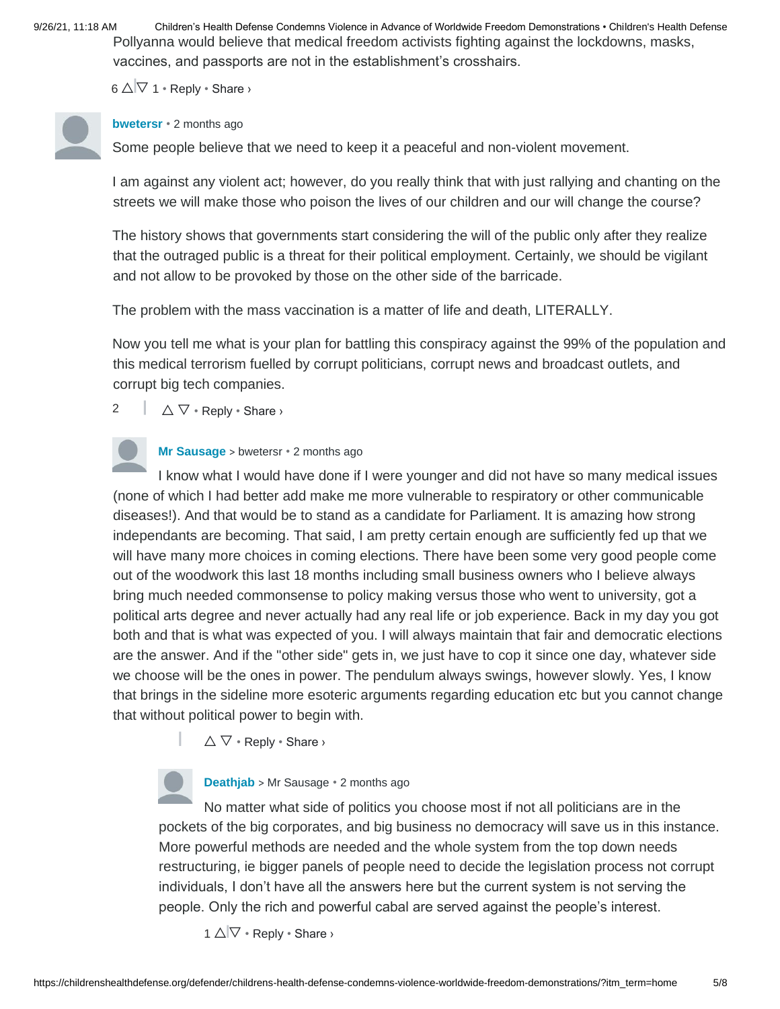9/26/21, 11:18 AM Children's Health Defense Condemns Violence in Advance of Worldwide Freedom Demonstrations • Children's Health Defense Pollyanna would believe that medical freedom activists fighting against the lockdowns, masks, vaccines, and passports are not in the establishment's crosshairs.

6  $\triangle$  $\nabla$  1 • Reply • Share ›

#### **[bwetersr](https://disqus.com/by/bwetersr/)** • [2 months ago](https://childrenshealthdefense.org/defender/childrens-health-defense-condemns-violence-worldwide-freedom-demonstrations/?itm_term=home#comment-5468447427)

Some people believe that we need to keep it a peaceful and non-violent movement.

I am against any violent act; however, do you really think that with just rallying and chanting on the streets we will make those who poison the lives of our children and our will change the course?

The history shows that governments start considering the will of the public only after they realize that the outraged public is a threat for their political employment. Certainly, we should be vigilant and not allow to be provoked by those on the other side of the barricade.

The problem with the mass vaccination is a matter of life and death, LITERALLY.

Now you tell me what is your plan for battling this conspiracy against the 99% of the population and this medical terrorism fuelled by corrupt politicians, corrupt news and broadcast outlets, and corrupt big tech companies.

 $\triangle \nabla \cdot$  Reply  $\cdot$  Share  $\triangleright$ 2

# **[Mr Sausage](https://disqus.com/by/disqus_LcfLp7QAk9/)** [>](https://childrenshealthdefense.org/defender/childrens-health-defense-condemns-violence-worldwide-freedom-demonstrations/?itm_term=home#comment-5468447427) [bwetersr](https://childrenshealthdefense.org/defender/childrens-health-defense-condemns-violence-worldwide-freedom-demonstrations/?itm_term=home#comment-5468447427) • [2 months ago](https://childrenshealthdefense.org/defender/childrens-health-defense-condemns-violence-worldwide-freedom-demonstrations/?itm_term=home#comment-5469592138)

I know what I would have done if I were younger and did not have so many medical issues (none of which I had better add make me more vulnerable to respiratory or other communicable diseases!). And that would be to stand as a candidate for Parliament. It is amazing how strong independants are becoming. That said, I am pretty certain enough are sufficiently fed up that we will have many more choices in coming elections. There have been some very good people come out of the woodwork this last 18 months including small business owners who I believe always bring much needed commonsense to policy making versus those who went to university, got a political arts degree and never actually had any real life or job experience. Back in my day you got both and that is what was expected of you. I will always maintain that fair and democratic elections are the answer. And if the "other side" gets in, we just have to cop it since one day, whatever side we choose will be the ones in power. The pendulum always swings, however slowly. Yes, I know that brings in the sideline more esoteric arguments regarding education etc but you cannot change that without political power to begin with.

 $\triangle \nabla \cdot$  Reply  $\cdot$  Share  $\triangleright$ 

**[Deathjab](https://disqus.com/by/disqus_46zOc2XEUE/)** [>](https://childrenshealthdefense.org/defender/childrens-health-defense-condemns-violence-worldwide-freedom-demonstrations/?itm_term=home#comment-5469592138) [Mr Sausage](https://childrenshealthdefense.org/defender/childrens-health-defense-condemns-violence-worldwide-freedom-demonstrations/?itm_term=home#comment-5469592138) [•](https://childrenshealthdefense.org/defender/childrens-health-defense-condemns-violence-worldwide-freedom-demonstrations/?itm_term=home#comment-5469666425) [2 months ago](https://childrenshealthdefense.org/defender/childrens-health-defense-condemns-violence-worldwide-freedom-demonstrations/?itm_term=home#comment-5469666425)

No matter what side of politics you choose most if not all politicians are in the pockets of the big corporates, and big business no democracy will save us in this instance. More powerful methods are needed and the whole system from the top down needs restructuring, ie bigger panels of people need to decide the legislation process not corrupt individuals, I don't have all the answers here but the current system is not serving the people. Only the rich and powerful cabal are served against the people's interest.

 $1 \triangle \nabla \cdot \text{Reply} \cdot \text{Share}$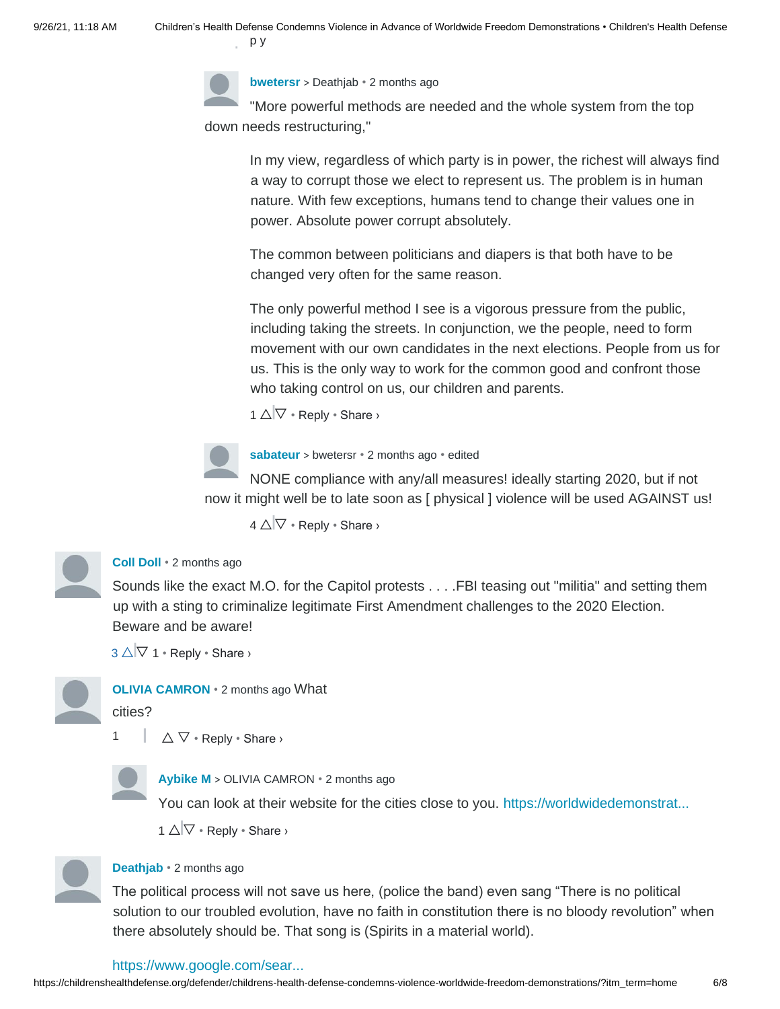

**[bwetersr](https://disqus.com/by/bwetersr/)** [>](https://childrenshealthdefense.org/defender/childrens-health-defense-condemns-violence-worldwide-freedom-demonstrations/?itm_term=home#comment-5469666425) [Deathjab](https://childrenshealthdefense.org/defender/childrens-health-defense-condemns-violence-worldwide-freedom-demonstrations/?itm_term=home#comment-5469666425) • [2 months ago](https://childrenshealthdefense.org/defender/childrens-health-defense-condemns-violence-worldwide-freedom-demonstrations/?itm_term=home#comment-5470770714)

"More powerful methods are needed and the whole system from the top down needs restructuring,"

In my view, regardless of which party is in power, the richest will always find a way to corrupt those we elect to represent us. The problem is in human nature. With few exceptions, humans tend to change their values one in power. Absolute power corrupt absolutely.

The common between politicians and diapers is that both have to be changed very often for the same reason.

The only powerful method I see is a vigorous pressure from the public, including taking the streets. In conjunction, we the people, need to form movement with our own candidates in the next elections. People from us for us. This is the only way to work for the common good and confront those who taking control on us, our children and parents.

 $1 \triangle \nabla \cdot \text{Reply} \cdot \text{Share}$ 



**[sabateur](https://disqus.com/by/disqus_swRQpKnQ0n/)** [>](https://childrenshealthdefense.org/defender/childrens-health-defense-condemns-violence-worldwide-freedom-demonstrations/?itm_term=home#comment-5470770714) [bwetersr](https://childrenshealthdefense.org/defender/childrens-health-defense-condemns-violence-worldwide-freedom-demonstrations/?itm_term=home#comment-5470770714) • [2 months ago](https://childrenshealthdefense.org/defender/childrens-health-defense-condemns-violence-worldwide-freedom-demonstrations/?itm_term=home#comment-5471144036) [•](https://childrenshealthdefense.org/defender/childrens-health-defense-condemns-violence-worldwide-freedom-demonstrations/?itm_term=home#comment-5471144036) edited

NONE compliance with any/all measures! ideally starting 2020, but if not now it might well be to late soon as [ physical ] violence will be used AGAINST us!

 $4 \triangle \nabla \cdot \text{Reply} \cdot \text{Share}$ 

#### **[Coll Doll](https://disqus.com/by/disqus_1kfXcspa7V/)** [•](https://disqus.com/by/disqus_1kfXcspa7V/) [2 months ago](https://childrenshealthdefense.org/defender/childrens-health-defense-condemns-violence-worldwide-freedom-demonstrations/?itm_term=home#comment-5467536794)

Sounds like the exact M.O. for the Capitol protests . . . .FBI teasing out "militia" and setting them up with a sting to criminalize legitimate First Amendment challenges to the 2020 Election. Beware and be aware!

 $3 \triangle \nabla$  1 • Reply • Share ›

**[OLIVIA CAMRON](https://disqus.com/by/oliviacamron/)** • [2 months ago](https://childrenshealthdefense.org/defender/childrens-health-defense-condemns-violence-worldwide-freedom-demonstrations/?itm_term=home#comment-5467291049) What

cities?

1

 $\triangle \triangledown \cdot$  Reply  $\cdot$  Share  $\triangleright$ 



**[Aybike M](https://disqus.com/by/aybikem/)** [>](https://childrenshealthdefense.org/defender/childrens-health-defense-condemns-violence-worldwide-freedom-demonstrations/?itm_term=home#comment-5467291049) [OLIVIA CAMRON](https://childrenshealthdefense.org/defender/childrens-health-defense-condemns-violence-worldwide-freedom-demonstrations/?itm_term=home#comment-5467291049) [•](https://childrenshealthdefense.org/defender/childrens-health-defense-condemns-violence-worldwide-freedom-demonstrations/?itm_term=home#comment-5467291049) [2 months ago](https://childrenshealthdefense.org/defender/childrens-health-defense-condemns-violence-worldwide-freedom-demonstrations/?itm_term=home#comment-5467508423)

You can look at their website for the cities close to you. [https://worldwidedemonstrat...](https://disq.us/url?url=https%3A%2F%2Fworldwidedemonstration.com%2F%3Aqt_uKUlDMchK9Eejb3GorvoXTKE&cuid=6318977)

 $1 \triangle \nabla \cdot \text{Reply} \cdot \text{Share}$ 



#### **[Deathjab](https://disqus.com/by/disqus_46zOc2XEUE/)** • [2 months ago](https://childrenshealthdefense.org/defender/childrens-health-defense-condemns-violence-worldwide-freedom-demonstrations/?itm_term=home#comment-5469677320)

The political process will not save us here, (police the band) even sang "There is no political solution to our troubled evolution, have no faith in constitution there is no bloody revolution" when there absolutely should be. That song is (Spirits in a material world).

#### [https://www.google.com/sear...](https://disq.us/url?url=https%3A%2F%2Fwww.google.com%2Fsearch%3Fq%3Dspirits%2Bin%2Ba%2Bmaterial%2Bworld%2Blyrics%26rlz%3D1C9BKJA_enAU950AU955%26oq%3Dspirits%2Bin%2Ba%2Bmaterial%26aqs%3Dchrome.3.0i355j46j69i57j0l3.15295j0j7%26hl%3Den-GB%26sourceid%3Dchrome-mobile%26ie%3DUTF-8%3A5WOz5QcdX9ukM61i-quJd8Zo1iU&cuid=6318977)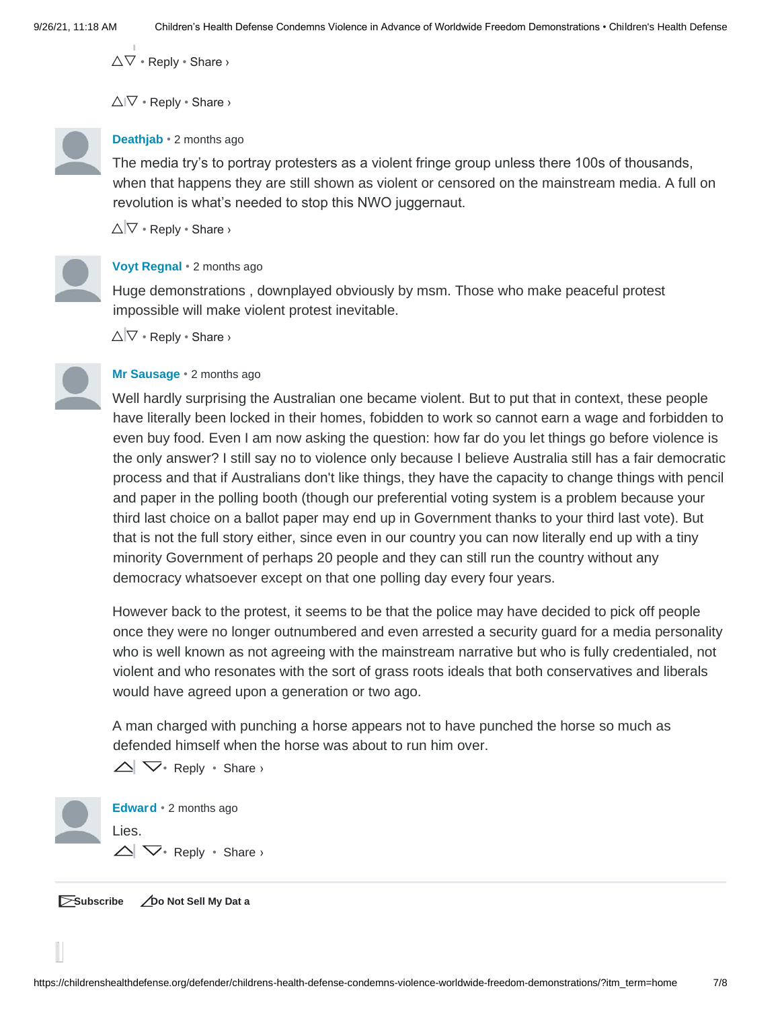$\Delta \nabla \cdot$  Reply  $\cdot$  Share  $\lambda$ 

 $\triangle$ I $\nabla$  • Reply • Share >



#### **[Deathjab](https://disqus.com/by/disqus_46zOc2XEUE/)** • [2 months ago](https://childrenshealthdefense.org/defender/childrens-health-defense-condemns-violence-worldwide-freedom-demonstrations/?itm_term=home#comment-5469670002)

The media try's to portray protesters as a violent fringe group unless there 100s of thousands, when that happens they are still shown as violent or censored on the mainstream media. A full on revolution is what's needed to stop this NWO juggernaut.

 $\triangle \nabla \cdot$  Reply  $\cdot$  Share  $\triangleright$ 



## **[Voyt Regnal](https://disqus.com/by/voytregnal/)** • [2 months ago](https://childrenshealthdefense.org/defender/childrens-health-defense-condemns-violence-worldwide-freedom-demonstrations/?itm_term=home#comment-5468947299)

Huge demonstrations , downplayed obviously by msm. Those who make peaceful protest impossible will make violent protest inevitable.

 $\triangle \nabla \cdot \text{Reply} \cdot \text{Share}$ 

#### **[Mr Sausage](https://disqus.com/by/disqus_LcfLp7QAk9/)** • [2 months ago](https://childrenshealthdefense.org/defender/childrens-health-defense-condemns-violence-worldwide-freedom-demonstrations/?itm_term=home#comment-5468720134)

Well hardly surprising the Australian one became violent. But to put that in context, these people have literally been locked in their homes, fobidden to work so cannot earn a wage and forbidden to even buy food. Even I am now asking the question: how far do you let things go before violence is the only answer? I still say no to violence only because I believe Australia still has a fair democratic process and that if Australians don't like things, they have the capacity to change things with pencil and paper in the polling booth (though our preferential voting system is a problem because your third last choice on a ballot paper may end up in Government thanks to your third last vote). But that is not the full story either, since even in our country you can now literally end up with a tiny minority Government of perhaps 20 people and they can still run the country without any democracy whatsoever except on that one polling day every four years.

However back to the protest, it seems to be that the police may have decided to pick off people once they were no longer outnumbered and even arrested a security guard for a media personality who is well known as not agreeing with the mainstream narrative but who is fully credentialed, not violent and who resonates with the sort of grass roots ideals that both conservatives and liberals would have agreed upon a generation or two ago.

A man charged with punching a horse appears not to have punched the horse so much as defended himself when the horse was about to run him over.

• Reply • Share ›

**[Edward](https://disqus.com/by/disqus_hfetAf92aD/)** • [2](https://childrenshealthdefense.org/defender/childrens-health-defense-condemns-violence-worldwide-freedom-demonstrations/?itm_term=home#comment-5467693652) [months ago](https://childrenshealthdefense.org/defender/childrens-health-defense-condemns-violence-worldwide-freedom-demonstrations/?itm_term=home#comment-5467693652) • Reply • Share ›Lies.

**Subscribe [Do Not Sell My Dat](https://disqus.com/data-sharing-settings/) [a](https://disqus.com/data-sharing-settings/)**

I